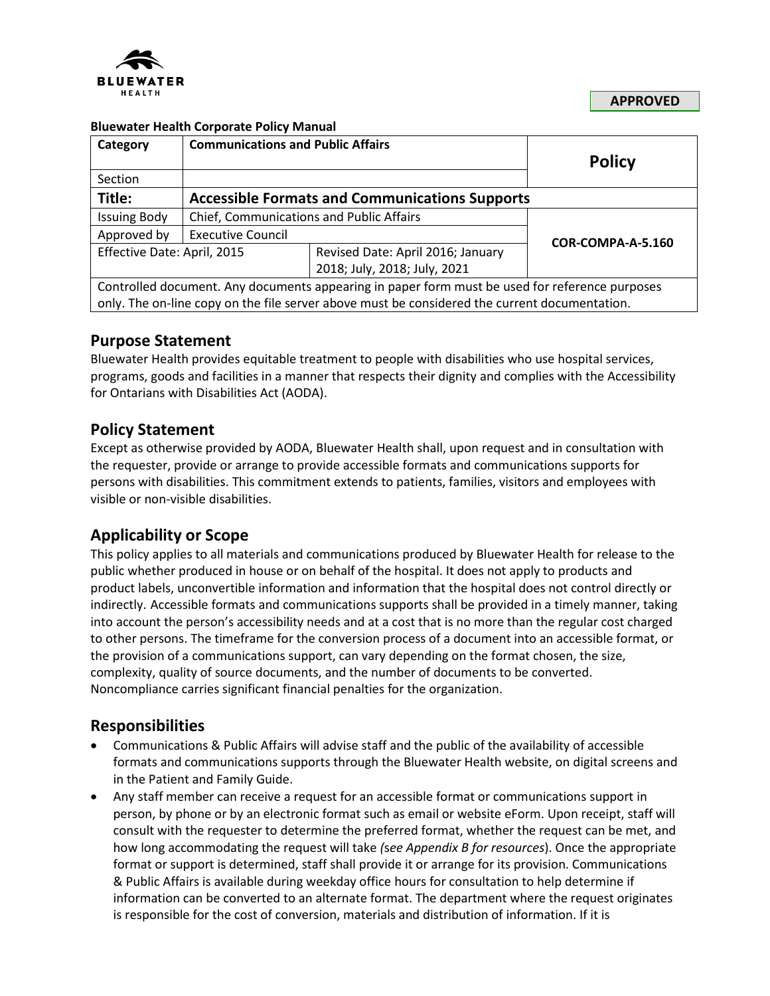

**APPROVED**

#### **Bluewater Health Corporate Policy Manual**

| Category                                                                                       | <b>Communications and Public Affairs</b>              |                                   | <b>Policy</b>     |
|------------------------------------------------------------------------------------------------|-------------------------------------------------------|-----------------------------------|-------------------|
| Section                                                                                        |                                                       |                                   |                   |
| Title:                                                                                         | <b>Accessible Formats and Communications Supports</b> |                                   |                   |
| <b>Issuing Body</b>                                                                            | Chief, Communications and Public Affairs              |                                   |                   |
| Approved by                                                                                    | <b>Executive Council</b>                              |                                   | COR-COMPA-A-5.160 |
| Effective Date: April, 2015                                                                    |                                                       | Revised Date: April 2016; January |                   |
|                                                                                                |                                                       | 2018; July, 2018; July, 2021      |                   |
| Controlled document. Any documents appearing in paper form must be used for reference purposes |                                                       |                                   |                   |
| only. The on-line copy on the file server above must be considered the current documentation.  |                                                       |                                   |                   |

### **Purpose Statement**

Bluewater Health provides equitable treatment to people with disabilities who use hospital services, programs, goods and facilities in a manner that respects their dignity and complies with the Accessibility for Ontarians with Disabilities Act (AODA).

### **Policy Statement**

Except as otherwise provided by AODA, Bluewater Health shall, upon request and in consultation with the requester, provide or arrange to provide accessible formats and communications supports for persons with disabilities. This commitment extends to patients, families, visitors and employees with visible or non-visible disabilities.

### **Applicability or Scope**

This policy applies to all materials and communications produced by Bluewater Health for release to the public whether produced in house or on behalf of the hospital. It does not apply to products and product labels, unconvertible information and information that the hospital does not control directly or indirectly. Accessible formats and communications supports shall be provided in a timely manner, taking into account the person's accessibility needs and at a cost that is no more than the regular cost charged to other persons. The timeframe for the conversion process of a document into an accessible format, or the provision of a communications support, can vary depending on the format chosen, the size, complexity, quality of source documents, and the number of documents to be converted. Noncompliance carries significant financial penalties for the organization.

### **Responsibilities**

- Communications & Public Affairs will advise staff and the public of the availability of accessible formats and communications supports through the Bluewater Health website, on digital screens and in the Patient and Family Guide.
- Any staff member can receive a request for an accessible format or communications support in person, by phone or by an electronic format such as email or website eForm. Upon receipt, staff will consult with the requester to determine the preferred format, whether the request can be met, and how long accommodating the request will take *(*s*ee Appendix B for resources*). Once the appropriate format or support is determined, staff shall provide it or arrange for its provision. Communications & Public Affairs is available during weekday office hours for consultation to help determine if information can be converted to an alternate format. The department where the request originates is responsible for the cost of conversion, materials and distribution of information. If it is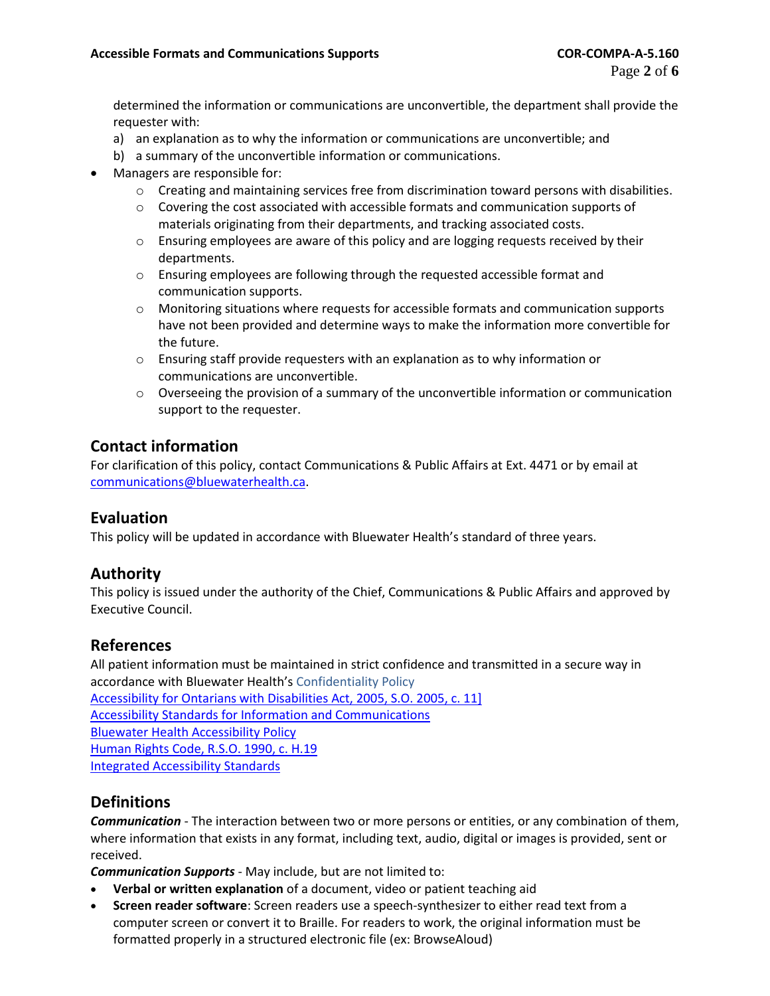determined the information or communications are unconvertible, the department shall provide the requester with:

- a) an explanation as to why the information or communications are unconvertible; and
- b) a summary of the unconvertible information or communications.
- Managers are responsible for:
	- $\circ$  Creating and maintaining services free from discrimination toward persons with disabilities.
	- $\circ$  Covering the cost associated with accessible formats and communication supports of materials originating from their departments, and tracking associated costs.
	- $\circ$  Ensuring employees are aware of this policy and are logging requests received by their departments.
	- o Ensuring employees are following through the requested accessible format and communication supports.
	- o Monitoring situations where requests for accessible formats and communication supports have not been provided and determine ways to make the information more convertible for the future.
	- o Ensuring staff provide requesters with an explanation as to why information or communications are unconvertible.
	- $\circ$  Overseeing the provision of a summary of the unconvertible information or communication support to the requester.

# **Contact information**

For clarification of this policy, contact Communications & Public Affairs at Ext. 4471 or by email at [communications@bluewaterhealth.ca.](mailto:communications@bluewaterhealth.ca)

### **Evaluation**

This policy will be updated in accordance with Bluewater Health's standard of three years.

# **Authority**

This policy is issued under the authority of the Chief, Communications & Public Affairs and approved by Executive Council.

### **References**

All patient information must be maintained in strict confidence and transmitted in a secure way in accordance with Bluewater Health's Confidentiality Policy [Accessibility for Ontarians with Disabilities Act, 2005, S.O. 2005, c. 11\]](http://www.e-laws.gov.on.ca/html/statutes/english/elaws_statutes_05a11_e.htm) [Accessibility Standards for Information and Communications](http://www.e-laws.gov.on.ca/html/source/regs/english/2011/elaws_src_regs_r11191_e.htm#BK9) [Bluewater Health Accessibility Policy](file:///H:/CORPORATE%20POLICIES%20&%20PROCEDURES/Section%201%20-%20Organization/COR-ORG-A-1.120%20Integrated%20Accessibility%20Standards%20Policy.pdf) [Human Rights Code, R.S.O. 1990, c. H.19](http://www.e-laws.gov.on.ca/html/statutes/english/elaws_statutes_90h19_e.htm) [Integrated Accessibility Standards](http://www.e-laws.gov.on.ca/html/source/regs/english/2011/elaws_src_regs_r11191_e.htm)

# **Definitions**

*Communication* - The interaction between two or more persons or entities, or any combination of them, where information that exists in any format, including text, audio, digital or images is provided, sent or received.

*Communication Supports* - May include, but are not limited to:

- **Verbal or written explanation** of a document, video or patient teaching aid
- **Screen reader software**: Screen readers use a speech-synthesizer to either read text from a computer screen or convert it to Braille. For readers to work, the original information must be formatted properly in a structured electronic file (ex: BrowseAloud)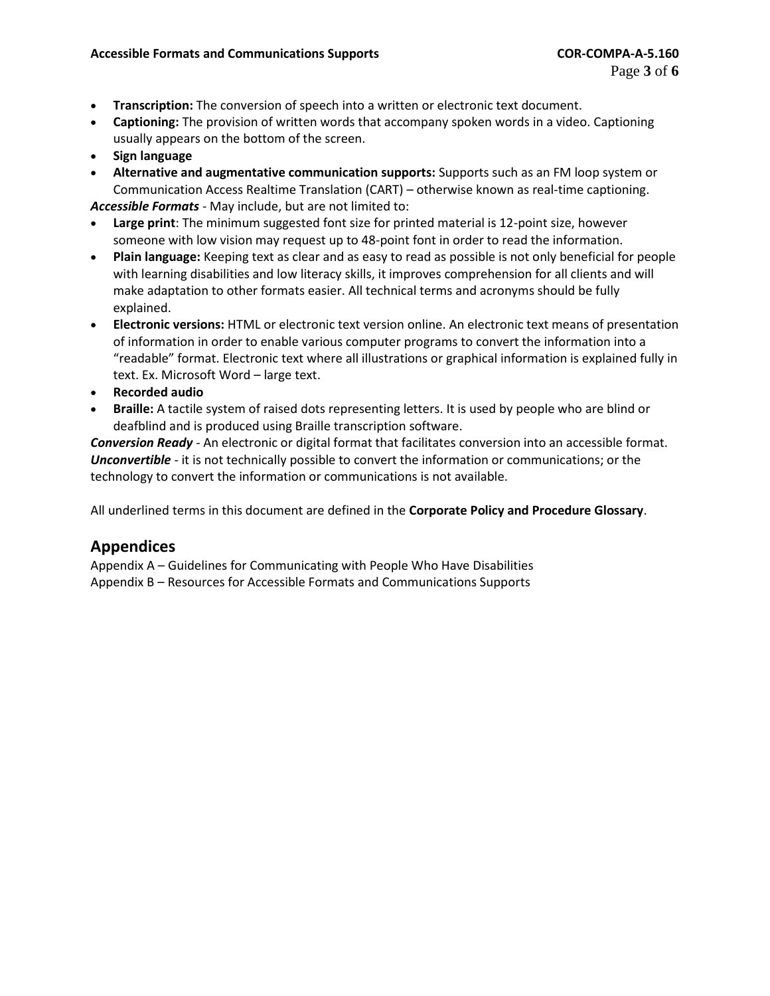- **Transcription:** The conversion of speech into a written or electronic text document.
- **Captioning:** The provision of written words that accompany spoken words in a video. Captioning usually appears on the bottom of the screen.
- **Sign language**
- **Alternative and augmentative communication supports:** Supports such as an FM loop system or Communication Access Realtime Translation (CART) – otherwise known as real-time captioning.

*Accessible Formats* - May include, but are not limited to:

- **Large print**: The minimum suggested font size for printed material is 12-point size, however someone with low vision may request up to 48-point font in order to read the information.
- **Plain language:** Keeping text as clear and as easy to read as possible is not only beneficial for people with learning disabilities and low literacy skills, it improves comprehension for all clients and will make adaptation to other formats easier. All technical terms and acronyms should be fully explained.
- **Electronic versions:** HTML or electronic text version online. An electronic text means of presentation of information in order to enable various computer programs to convert the information into a "readable" format. Electronic text where all illustrations or graphical information is explained fully in text. Ex. Microsoft Word – large text.
- **Recorded audio**
- **Braille:** A tactile system of raised dots representing letters. It is used by people who are blind or deafblind and is produced using Braille transcription software.

*Conversion Ready* - An electronic or digital format that facilitates conversion into an accessible format. *Unconvertible* - it is not technically possible to convert the information or communications; or the technology to convert the information or communications is not available.

All underlined terms in this document are defined in the **Corporate Policy and Procedure Glossary**.

# **Appendices**

Appendix A – Guidelines for Communicating with People Who Have Disabilities Appendix B – Resources for Accessible Formats and Communications Supports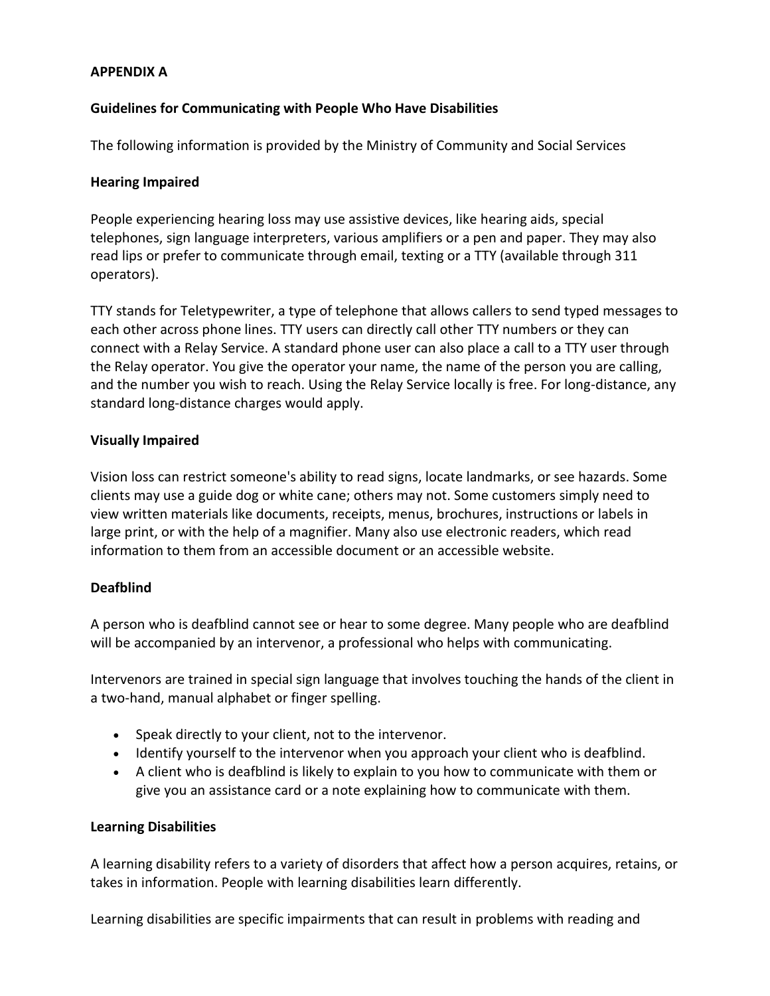### **APPENDIX A**

### **Guidelines for Communicating with People Who Have Disabilities**

The following information is provided by the Ministry of Community and Social Services

### **Hearing Impaired**

People experiencing hearing loss may use assistive devices, like hearing aids, special telephones, sign language interpreters, various amplifiers or a pen and paper. They may also read lips or prefer to communicate through email, texting or a TTY (available through 311 operators).

TTY stands for Teletypewriter, a type of telephone that allows callers to send typed messages to each other across phone lines. TTY users can directly call other TTY numbers or they can connect with a Relay Service. A standard phone user can also place a call to a TTY user through the Relay operator. You give the operator your name, the name of the person you are calling, and the number you wish to reach. Using the Relay Service locally is free. For long-distance, any standard long-distance charges would apply.

### **Visually Impaired**

Vision loss can restrict someone's ability to read signs, locate landmarks, or see hazards. Some clients may use a guide dog or white cane; others may not. Some customers simply need to view written materials like documents, receipts, menus, brochures, instructions or labels in large print, or with the help of a magnifier. Many also use electronic readers, which read information to them from an accessible document or an accessible website.

### **Deafblind**

A person who is deafblind cannot see or hear to some degree. Many people who are deafblind will be accompanied by an intervenor, a professional who helps with communicating.

Intervenors are trained in special sign language that involves touching the hands of the client in a two-hand, manual alphabet or finger spelling.

- Speak directly to your client, not to the intervenor.
- Identify yourself to the intervenor when you approach your client who is deafblind.
- A client who is deafblind is likely to explain to you how to communicate with them or give you an assistance card or a note explaining how to communicate with them.

### **Learning Disabilities**

A learning disability refers to a variety of disorders that affect how a person acquires, retains, or takes in information. People with learning disabilities learn differently.

Learning disabilities are specific impairments that can result in problems with reading and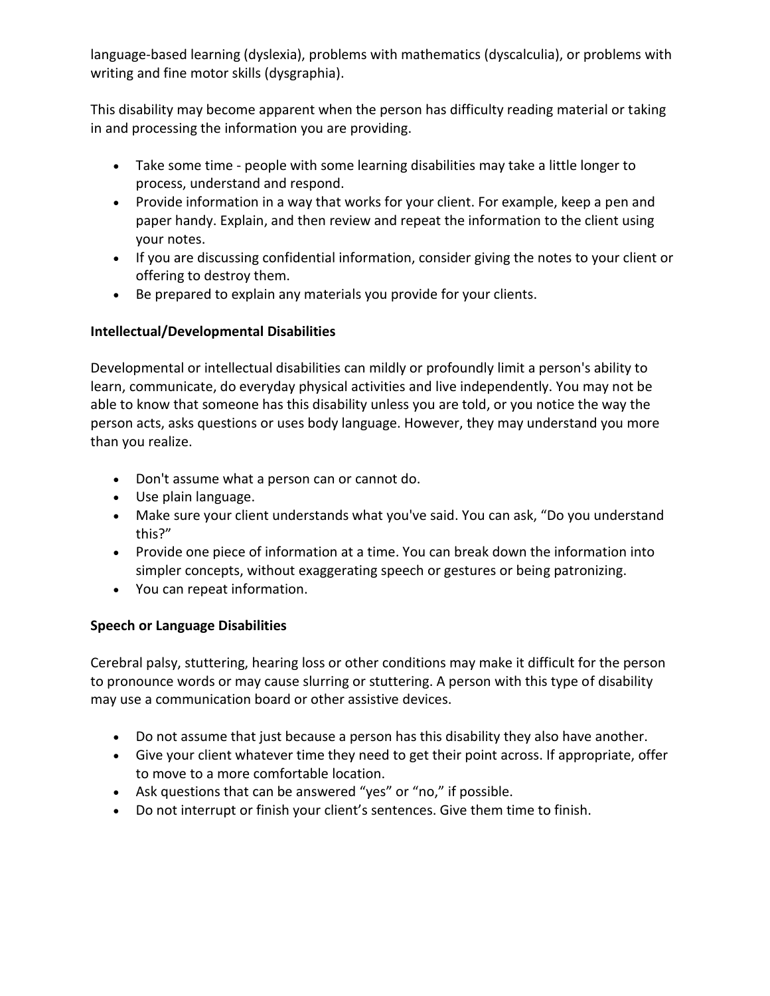language-based learning (dyslexia), problems with mathematics (dyscalculia), or problems with writing and fine motor skills (dysgraphia).

This disability may become apparent when the person has difficulty reading material or taking in and processing the information you are providing.

- Take some time people with some learning disabilities may take a little longer to process, understand and respond.
- Provide information in a way that works for your client. For example, keep a pen and paper handy. Explain, and then review and repeat the information to the client using your notes.
- If you are discussing confidential information, consider giving the notes to your client or offering to destroy them.
- Be prepared to explain any materials you provide for your clients.

# **Intellectual/Developmental Disabilities**

Developmental or intellectual disabilities can mildly or profoundly limit a person's ability to learn, communicate, do everyday physical activities and live independently. You may not be able to know that someone has this disability unless you are told, or you notice the way the person acts, asks questions or uses body language. However, they may understand you more than you realize.

- Don't assume what a person can or cannot do.
- Use plain language.
- Make sure your client understands what you've said. You can ask, "Do you understand this?"
- Provide one piece of information at a time. You can break down the information into simpler concepts, without exaggerating speech or gestures or being patronizing.
- You can repeat information.

# **Speech or Language Disabilities**

Cerebral palsy, stuttering, hearing loss or other conditions may make it difficult for the person to pronounce words or may cause slurring or stuttering. A person with this type of disability may use a communication board or other assistive devices.

- Do not assume that just because a person has this disability they also have another.
- Give your client whatever time they need to get their point across. If appropriate, offer to move to a more comfortable location.
- Ask questions that can be answered "yes" or "no," if possible.
- Do not interrupt or finish your client's sentences. Give them time to finish.